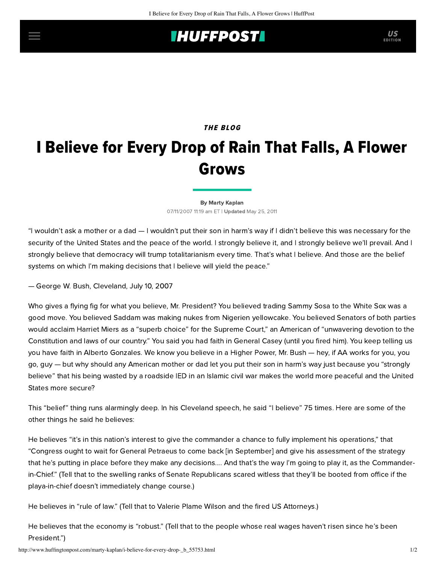## **IHUFFPOSTI** US

## THE BLOG

## I Believe for Every Drop of Rain That Falls, A Flower Grows

[By Marty Kaplan](http://www.huffingtonpost.com/author/marty-kaplan) 07/11/2007 11:19 am ET | Updated May 25, 2011

"I wouldn't ask a mother or a dad — I wouldn't put their son in harm's way if I didn't believe this was necessary for the security of the United States and the peace of the world. I strongly believe it, and I strongly believe we'll prevail. And I strongly believe that democracy will trump totalitarianism every time. That's what I believe. And those are the belief systems on which I'm making decisions that I believe will yield the peace."

— George W. Bush, Cleveland, July 10, 2007

Who gives a flying fig for what you believe, Mr. President? You believed trading Sammy Sosa to the White Sox was a good move. You believed Saddam was making nukes from Nigerien yellowcake. You believed Senators of both parties would acclaim Harriet Miers as a "superb choice" for the Supreme Court," an American of "unwavering devotion to the Constitution and laws of our country." You said you had faith in General Casey (until you fired him). You keep telling us you have faith in Alberto Gonzales. We know you believe in a Higher Power, Mr. Bush — hey, if AA works for you, you go, guy — but why should any American mother or dad let you put their son in harm's way just because you "strongly believe" that his being wasted by a roadside IED in an Islamic civil war makes the world more peaceful and the United States more secure?

This "belief" thing runs alarmingly deep. In his [Cleveland speech,](http://www.whitehouse.gov/news/releases/2007/07/20070710-6.html) he said "I believe" 75 times. Here are some of the other things he said he believes:

He believes "it's in this nation's interest to give the commander a chance to fully implement his operations," that "Congress ought to wait for General Petraeus to come back [in September] and give his assessment of the strategy that he's putting in place before they make any decisions.... And that's the way I'm going to play it, as the Commanderin-Chief." (Tell that to the swelling ranks of Senate Republicans scared witless that they'll be booted from office if the playa-in-chief doesn't immediately change course.)

He believes in "rule of law." (Tell that to Valerie Plame Wilson and the fired US Attorneys.)

He believes that the economy is "robust." (Tell that to the people whose real wages haven't risen since he's been President.")